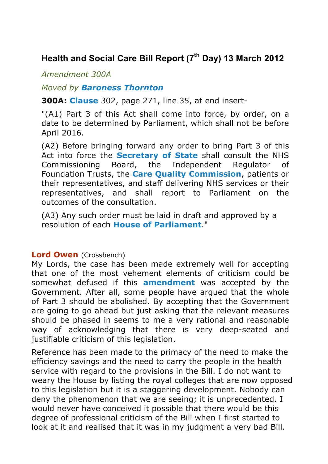## **Health and Social Care Bill Report (7th Day) 13 March 2012**

*Amendment 300A*

## *Moved by Baroness Thornton*

**300A: Clause** 302, page 271, line 35, at end insert-

"(A1) Part 3 of this Act shall come into force, by order, on a date to be determined by Parliament, which shall not be before April 2016.

(A2) Before bringing forward any order to bring Part 3 of this Act into force the **Secretary of State** shall consult the NHS Commissioning Board, the Independent Regulator of Foundation Trusts, the **Care Quality Commission**, patients or their representatives, and staff delivering NHS services or their representatives, and shall report to Parliament on the outcomes of the consultation.

(A3) Any such order must be laid in draft and approved by a resolution of each **House of Parliament**."

## **Lord Owen** (Crossbench)

My Lords, the case has been made extremely well for accepting that one of the most vehement elements of criticism could be somewhat defused if this **amendment** was accepted by the Government. After all, some people have argued that the whole of Part 3 should be abolished. By accepting that the Government are going to go ahead but just asking that the relevant measures should be phased in seems to me a very rational and reasonable way of acknowledging that there is very deep-seated and justifiable criticism of this legislation.

Reference has been made to the primacy of the need to make the efficiency savings and the need to carry the people in the health service with regard to the provisions in the Bill. I do not want to weary the House by listing the royal colleges that are now opposed to this legislation but it is a staggering development. Nobody can deny the phenomenon that we are seeing; it is unprecedented. I would never have conceived it possible that there would be this degree of professional criticism of the Bill when I first started to look at it and realised that it was in my judgment a very bad Bill.